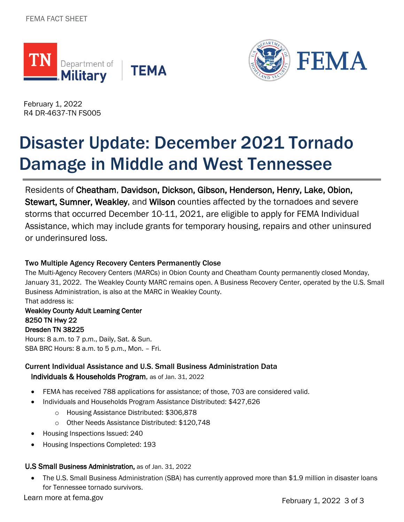



February 1, 2022 R4 DR-4637-TN FS005

# Disaster Update: December 2021 Tornado Damage in Middle and West Tennessee

Residents of Cheatham, Davidson, Dickson, Gibson, Henderson, Henry, Lake, Obion, Stewart, Sumner, Weakley, and Wilson counties affected by the tornadoes and severe storms that occurred December 10-11, 2021, are eligible to apply for FEMA Individual Assistance, which may include grants for temporary housing, repairs and other uninsured or underinsured loss.

### Two Multiple Agency Recovery Centers Permanently Close

The Multi-Agency Recovery Centers (MARCs) in Obion County and Cheatham County permanently closed Monday, January 31, 2022. The Weakley County MARC remains open. A Business Recovery Center, operated by the U.S. Small Business Administration, is also at the MARC in Weakley County. That address is:

## Weakley County Adult Learning Center 8250 TN Hwy 22 Dresden TN 38225

Hours: 8 a.m. to 7 p.m., Daily, Sat. & Sun. SBA BRC Hours: 8 a.m. to 5 p.m., Mon. – Fri.

# Current Individual Assistance and U.S. Small Business Administration Data Individuals & Households Program, as of Jan. 31, 2022

- FEMA has received 788 applications for assistance; of those, 703 are considered valid.
- Individuals and Households Program Assistance Distributed: \$427,626
	- o Housing Assistance Distributed: \$306,878
	- o Other Needs Assistance Distributed: \$120,748
- Housing Inspections Issued: 240
- Housing Inspections Completed: 193

# U.S Small Business Administration, as of Jan. 31, 2022

• The U.S. Small Business Administration (SBA) has currently approved more than \$1.9 million in disaster loans for Tennessee tornado survivors.

Learn more at fema.gov **February 1, 2022** 3 of 3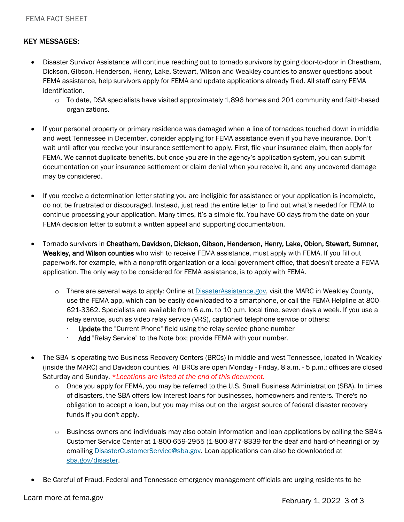### KEY MESSAGES:

- Disaster Survivor Assistance will continue reaching out to tornado survivors by going door-to-door in Cheatham, Dickson, Gibson, Henderson, Henry, Lake, Stewart, Wilson and Weakley counties to answer questions about FEMA assistance, help survivors apply for FEMA and update applications already filed. All staff carry FEMA identification.
	- o To date, DSA specialists have visited approximately 1,896 homes and 201 community and faith-based organizations.
- If your personal property or primary residence was damaged when a line of tornadoes touched down in middle and west Tennessee in December, consider applying for FEMA assistance even if you have insurance. Don't wait until after you receive your insurance settlement to apply. First, file your insurance claim, then apply for FEMA. We cannot duplicate benefits, but once you are in the agency's application system, you can submit documentation on your insurance settlement or claim denial when you receive it, and any uncovered damage may be considered.
- If you receive a determination letter stating you are ineligible for assistance or your application is incomplete, do not be frustrated or discouraged. Instead, just read the entire letter to find out what's needed for FEMA to continue processing your application. Many times, it's a simple fix. You have 60 days from the date on your FEMA decision letter to submit a written appeal and supporting documentation.
- Tornado survivors in Cheatham, Davidson, Dickson, Gibson, Henderson, Henry, Lake, Obion, Stewart, Sumner, Weakley, and Wilson counties who wish to receive FEMA assistance, must apply with FEMA. If you fill out paperwork, for example, with a nonprofit organization or a local government office, that doesn't create a FEMA application. The only way to be considered for FEMA assistance, is to apply with FEMA.
	- $\circ$  There are several ways to apply: Online at [DisasterAssistance.gov,](https://www.disasterassistance.gov/) visit the MARC in Weakley County, use the FEMA app, which can be easily downloaded to a smartphone, or call the FEMA Helpline at 800- 621-3362. Specialists are available from 6 a.m. to 10 p.m. local time, seven days a week. If you use a relay service, such as video relay service (VRS), captioned telephone service or others:
		- Update the "Current Phone" field using the relay service phone number
		- $\cdot$  Add "Relay Service" to the Note box; provide FEMA with your number.
- The SBA is operating two Business Recovery Centers (BRCs) in middle and west Tennessee, located in Weakley (inside the MARC) and Davidson counties. All BRCs are open Monday - Friday, 8 a.m. - 5 p.m.; offices are closed Saturday and Sunday. \**Locations are listed at the end of this document.*
	- $\circ$  Once you apply for FEMA, you may be referred to the U.S. Small Business Administration (SBA). In times of disasters, the SBA offers low-interest loans for businesses, homeowners and renters. There's no obligation to accept a loan, but you may miss out on the largest source of federal disaster recovery funds if you don't apply.
	- $\circ$  Business owners and individuals may also obtain information and loan applications by calling the SBA's Customer Service Center at 1-800-659-2955 (1-800-877-8339 for the deaf and hard-of-hearing) or by emailing [DisasterCustomerService@sba.gov.](mailto:DisasterCustomerService@sba.gov) Loan applications can also be downloaded at [sba.gov/disaster.](https://www.sba.gov/funding-programs/disaster-assistance)
- Be Careful of Fraud. Federal and Tennessee emergency management officials are urging residents to be